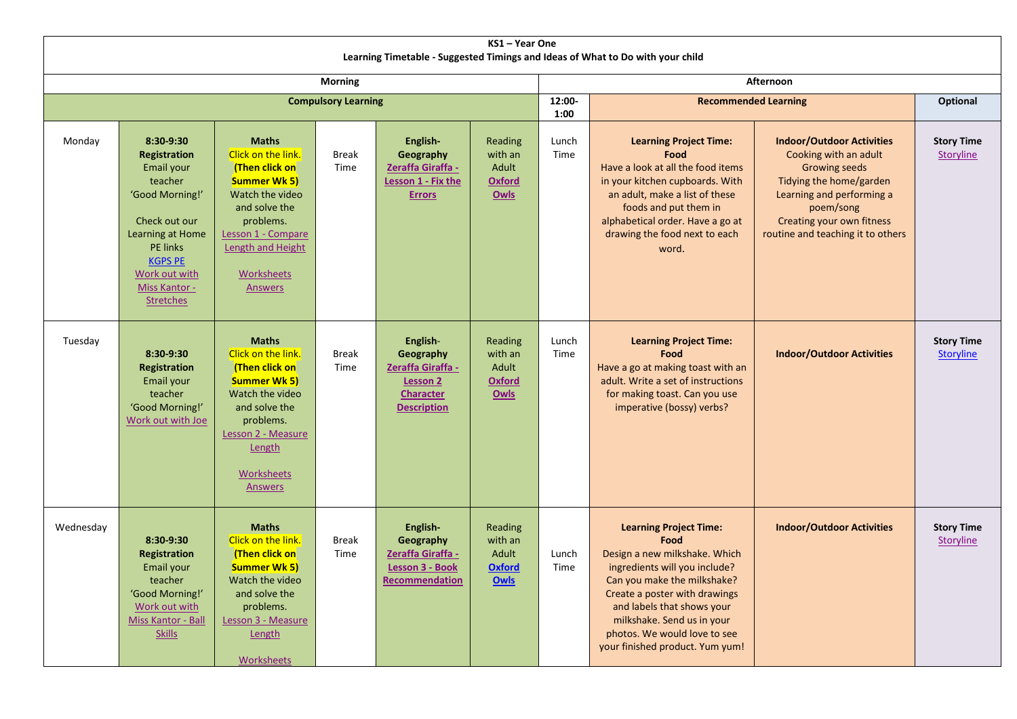| KS1-Year One<br>Learning Timetable - Suggested Timings and Ideas of What to Do with your child |                                                                                                                                                                                                              |                                                                                                                                                                                                                |                      |                                                                                                         |                                                             |                |                                                                                                                                                                                                                                                                                                        |                                                                                                                                                                                                                          |                                       |  |  |
|------------------------------------------------------------------------------------------------|--------------------------------------------------------------------------------------------------------------------------------------------------------------------------------------------------------------|----------------------------------------------------------------------------------------------------------------------------------------------------------------------------------------------------------------|----------------------|---------------------------------------------------------------------------------------------------------|-------------------------------------------------------------|----------------|--------------------------------------------------------------------------------------------------------------------------------------------------------------------------------------------------------------------------------------------------------------------------------------------------------|--------------------------------------------------------------------------------------------------------------------------------------------------------------------------------------------------------------------------|---------------------------------------|--|--|
| <b>Morning</b>                                                                                 |                                                                                                                                                                                                              |                                                                                                                                                                                                                |                      |                                                                                                         |                                                             | Afternoon      |                                                                                                                                                                                                                                                                                                        |                                                                                                                                                                                                                          |                                       |  |  |
| <b>Compulsory Learning</b>                                                                     |                                                                                                                                                                                                              |                                                                                                                                                                                                                |                      |                                                                                                         |                                                             | 12:00-<br>1:00 | <b>Recommended Learning</b>                                                                                                                                                                                                                                                                            |                                                                                                                                                                                                                          | <b>Optional</b>                       |  |  |
| Monday                                                                                         | 8:30-9:30<br><b>Registration</b><br>Email your<br>teacher<br>'Good Morning!'<br>Check out our<br>Learning at Home<br><b>PE links</b><br><b>KGPS PE</b><br>Work out with<br>Miss Kantor -<br><b>Stretches</b> | <b>Maths</b><br>Click on the link.<br>(Then click on<br><b>Summer Wk 5)</b><br>Watch the video<br>and solve the<br>problems.<br>Lesson 1 - Compare<br>Length and Height<br><b>Worksheets</b><br><b>Answers</b> | <b>Break</b><br>Time | English-<br>Geography<br>Zeraffa Giraffa -<br>Lesson 1 - Fix the<br><b>Errors</b>                       | Reading<br>with an<br>Adult<br><b>Oxford</b><br><b>Owls</b> | Lunch<br>Time  | <b>Learning Project Time:</b><br>Food<br>Have a look at all the food items<br>in your kitchen cupboards. With<br>an adult, make a list of these<br>foods and put them in<br>alphabetical order. Have a go at<br>drawing the food next to each<br>word.                                                 | <b>Indoor/Outdoor Activities</b><br>Cooking with an adult<br>Growing seeds<br>Tidying the home/garden<br>Learning and performing a<br>poem/song<br><b>Creating your own fitness</b><br>routine and teaching it to others | <b>Story Time</b><br>Storyline        |  |  |
| Tuesday                                                                                        | 8:30-9:30<br><b>Registration</b><br>Email your<br>teacher<br>'Good Morning!'<br>Work out with Joe                                                                                                            | <b>Maths</b><br>Click on the link.<br>(Then click on<br><b>Summer Wk 5)</b><br>Watch the video<br>and solve the<br>problems.<br>Lesson 2 - Measure<br>Length<br>Worksheets<br>Answers                          | <b>Break</b><br>Time | English-<br>Geography<br>Zeraffa Giraffa -<br><b>Lesson 2</b><br><b>Character</b><br><b>Description</b> | Reading<br>with an<br>Adult<br><b>Oxford</b><br><b>Owls</b> | Lunch<br>Time  | <b>Learning Project Time:</b><br>Food<br>Have a go at making toast with an<br>adult. Write a set of instructions<br>for making toast. Can you use<br>imperative (bossy) verbs?                                                                                                                         | <b>Indoor/Outdoor Activities</b>                                                                                                                                                                                         | <b>Story Time</b><br><b>Storyline</b> |  |  |
| Wednesday                                                                                      | 8:30-9:30<br><b>Registration</b><br>Email your<br>teacher<br>'Good Morning!'<br>Work out with<br>Miss Kantor - Ball<br><b>Skills</b>                                                                         | <b>Maths</b><br>Click on the link.<br>(Then click on<br><b>Summer Wk 5)</b><br>Watch the video<br>and solve the<br>problems.<br>Lesson 3 - Measure<br>Length<br><b>Worksheets</b>                              | <b>Break</b><br>Time | English-<br>Geography<br>Zeraffa Giraffa -<br>Lesson 3 - Book<br><b>Recommendation</b>                  | Reading<br>with an<br>Adult<br><b>Oxford</b><br><b>Owls</b> | Lunch<br>Time  | <b>Learning Project Time:</b><br>Food<br>Design a new milkshake. Which<br>ingredients will you include?<br>Can you make the milkshake?<br>Create a poster with drawings<br>and labels that shows your<br>milkshake. Send us in your<br>photos. We would love to see<br>your finished product. Yum yum! | <b>Indoor/Outdoor Activities</b>                                                                                                                                                                                         | <b>Story Time</b><br>Storyline        |  |  |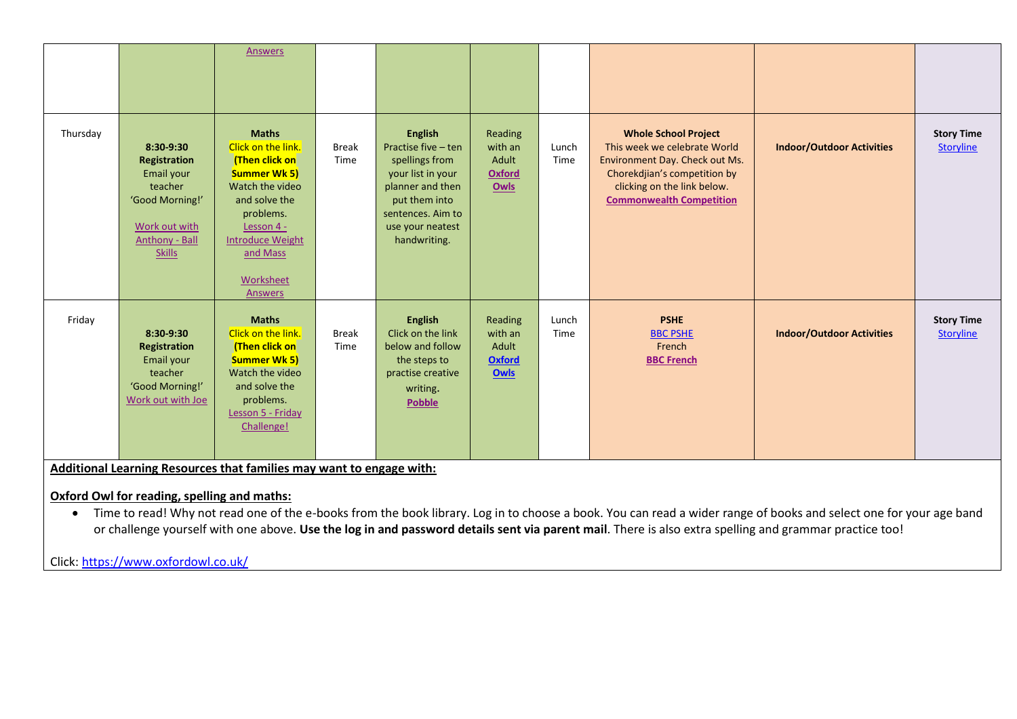|          |                                                                                                                           | Answers                                                                                                                                                                                                          |                      |                                                                                                                                                                            |                                                      |               |                                                                                                                                                                                                 |                                  |                                       |
|----------|---------------------------------------------------------------------------------------------------------------------------|------------------------------------------------------------------------------------------------------------------------------------------------------------------------------------------------------------------|----------------------|----------------------------------------------------------------------------------------------------------------------------------------------------------------------------|------------------------------------------------------|---------------|-------------------------------------------------------------------------------------------------------------------------------------------------------------------------------------------------|----------------------------------|---------------------------------------|
| Thursday | 8:30-9:30<br>Registration<br>Email your<br>teacher<br>'Good Morning!'<br>Work out with<br>Anthony - Ball<br><b>Skills</b> | <b>Maths</b><br>Click on the link.<br>(Then click on<br><b>Summer Wk 5)</b><br>Watch the video<br>and solve the<br>problems.<br>Lesson 4 -<br><b>Introduce Weight</b><br>and Mass<br>Worksheet<br><b>Answers</b> | <b>Break</b><br>Time | <b>English</b><br>Practise five - ten<br>spellings from<br>your list in your<br>planner and then<br>put them into<br>sentences. Aim to<br>use your neatest<br>handwriting. | Reading<br>with an<br>Adult<br><b>Oxford</b><br>Owls | Lunch<br>Time | <b>Whole School Project</b><br>This week we celebrate World<br>Environment Day. Check out Ms.<br>Chorekdjian's competition by<br>clicking on the link below.<br><b>Commonwealth Competition</b> | <b>Indoor/Outdoor Activities</b> | <b>Story Time</b><br><b>Storyline</b> |
| Friday   | 8:30-9:30<br>Registration<br>Email your<br>teacher<br>'Good Morning!'<br>Work out with Joe                                | <b>Maths</b><br>Click on the link.<br>(Then click on<br><b>Summer Wk 5)</b><br>Watch the video<br>and solve the<br>problems.<br>Lesson 5 - Friday<br>Challenge!                                                  | <b>Break</b><br>Time | <b>English</b><br>Click on the link<br>below and follow<br>the steps to<br>practise creative<br>writing.<br><b>Pobble</b>                                                  | Reading<br>with an<br>Adult<br><b>Oxford</b><br>Owls | Lunch<br>Time | <b>PSHE</b><br><b>BBC PSHE</b><br>French<br><b>BBC French</b>                                                                                                                                   | <b>Indoor/Outdoor Activities</b> | <b>Story Time</b><br><b>Storyline</b> |

**Additional Learning Resources that families may want to engage with:**

# **Oxford Owl for reading, spelling and maths:**

• Time to read! Why not read one of the e-books from the book library. Log in to choose a book. You can read a wider range of books and select one for your age band or challenge yourself with one above. **Use the log in and password details sent via parent mail**. There is also extra spelling and grammar practice too!

Click[: https://www.oxfordowl.co.uk/](https://www.oxfordowl.co.uk/)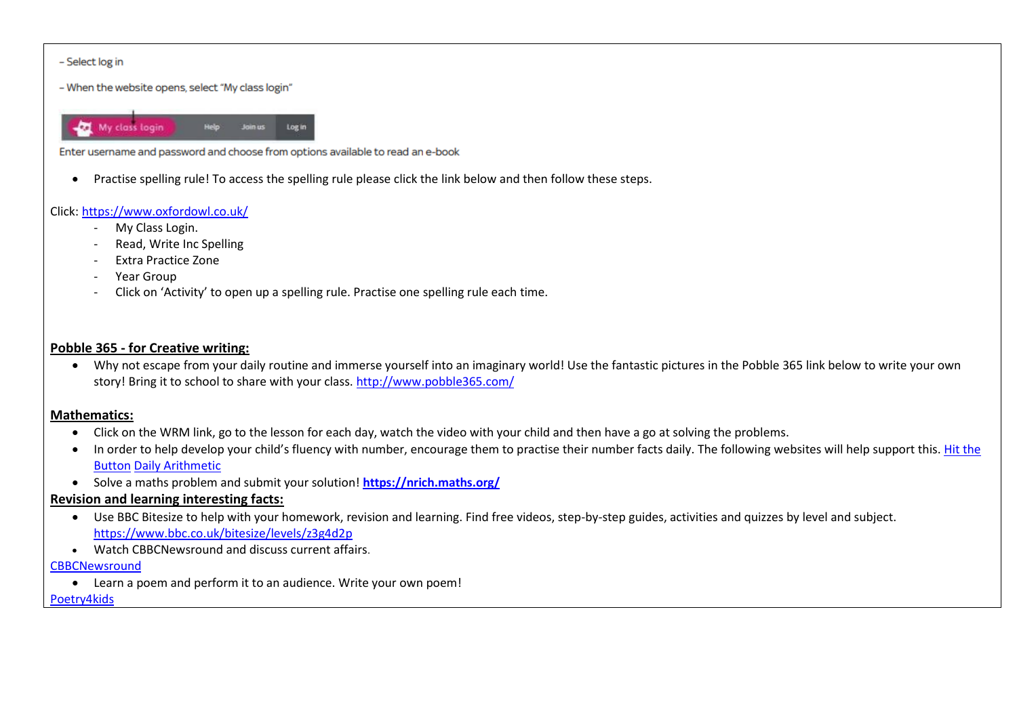#### - Select log in

- When the website opens, select "My class login"

My class login Join us Log in

Enter username and password and choose from options available to read an e-book

Practise spelling rule! To access the spelling rule please click the link below and then follow these steps.

### Click[: https://www.oxfordowl.co.uk/](https://www.oxfordowl.co.uk/)

- My Class Login.
- Read, Write Inc Spelling
- Extra Practice Zone
- Year Group
- Click on 'Activity' to open up a spelling rule. Practise one spelling rule each time.

## **Pobble 365 - for Creative writing:**

 Why not escape from your daily routine and immerse yourself into an imaginary world! Use the fantastic pictures in the Pobble 365 link below to write your own story! Bring it to school to share with your class. <http://www.pobble365.com/>

## **Mathematics:**

- Click on the WRM link, go to the lesson for each day, watch the video with your child and then have a go at solving the problems.
- In order to help develop your child's fluency with number, encourage them to practise their number facts daily. The following websites will help support this. Hit the [Button](https://www.topmarks.co.uk/maths-games/hit-the-button) [Daily Arithmetic](https://www.topmarks.co.uk/maths-games/daily10)
- Solve a maths problem and submit your solution! **<https://nrich.maths.org/>**

## **Revision and learning interesting facts:**

- Use BBC Bitesize to help with your homework, revision and learning. Find free videos, step-by-step guides, activities and quizzes by level and subject. <https://www.bbc.co.uk/bitesize/levels/z3g4d2p>
- Watch CBBCNewsround and discuss current affairs.

#### **[CBBCNewsround](https://www.bbc.co.uk/newsround)**

Learn a poem and perform it to an audience. Write your own poem!

#### [Poetry4kids](https://www.poetry4kids.com/)